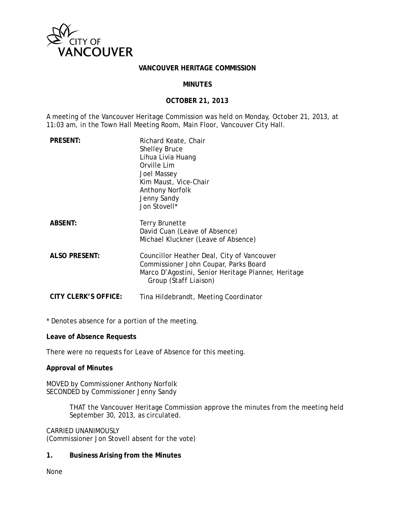

#### **VANCOUVER HERITAGE COMMISSION**

#### **MINUTES**

### **OCTOBER 21, 2013**

A meeting of the Vancouver Heritage Commission was held on Monday, October 21, 2013, at 11:03 am, in the Town Hall Meeting Room, Main Floor, Vancouver City Hall.

| <b>PRESENT:</b>      | Richard Keate, Chair<br><b>Shelley Bruce</b><br>Lihua Livia Huang<br>Orville Lim<br>Joel Massey<br>Kim Maust, Vice-Chair<br><b>Anthony Norfolk</b><br>Jenny Sandy<br>Jon Stovell* |
|----------------------|-----------------------------------------------------------------------------------------------------------------------------------------------------------------------------------|
| <b>ABSENT:</b>       | Terry Brunette<br>David Cuan (Leave of Absence)<br>Michael Kluckner (Leave of Absence)                                                                                            |
| <b>ALSO PRESENT:</b> | Councillor Heather Deal, City of Vancouver<br>Commissioner John Coupar, Parks Board<br>Marco D'Agostini, Senior Heritage Planner, Heritage<br>Group <i>(Staff Liaison)</i>        |
| CITY CLERK'S OFFICE: | Tina Hildebrandt, Meeting Coordinator                                                                                                                                             |

\* Denotes absence for a portion of the meeting.

**Leave of Absence Requests** 

There were no requests for Leave of Absence for this meeting.

#### **Approval of Minutes**

MOVED by Commissioner Anthony Norfolk SECONDED by Commissioner Jenny Sandy

> THAT the Vancouver Heritage Commission approve the minutes from the meeting held September 30, 2013, as circulated.

#### CARRIED UNANIMOUSLY

(Commissioner Jon Stovell absent for the vote)

#### **1. Business Arising from the Minutes**

None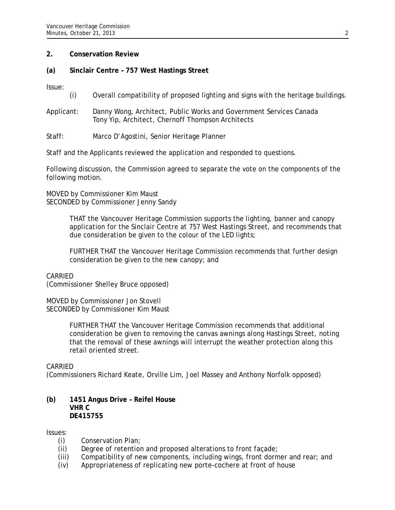### **2. Conservation Review**

### **(a) Sinclair Centre – 757 West Hastings Street**

Issue:

- (i) Overall compatibility of proposed lighting and signs with the heritage buildings.
- Applicant: Danny Wong, Architect, Public Works and Government Services Canada Tony Yip, Architect, Chernoff Thompson Architects
- Staff: Marco D'Agostini, Senior Heritage Planner

Staff and the Applicants reviewed the application and responded to questions.

Following discussion, the Commission agreed to separate the vote on the components of the following motion.

MOVED by Commissioner Kim Maust SECONDED by Commissioner Jenny Sandy

> THAT the Vancouver Heritage Commission supports the lighting, banner and canopy application for the Sinclair Centre at 757 West Hastings Street, and recommends that due consideration be given to the colour of the LED lights;

FURTHER THAT the Vancouver Heritage Commission recommends that further design consideration be given to the new canopy; and

### CARRIED

(Commissioner Shelley Bruce opposed)

MOVED by Commissioner Jon Stovell SECONDED by Commissioner Kim Maust

> FURTHER THAT the Vancouver Heritage Commission recommends that additional consideration be given to removing the canvas awnings along Hastings Street, noting that the removal of these awnings will interrupt the weather protection along this retail oriented street.

#### CARRIED

(Commissioners Richard Keate, Orville Lim, Joel Massey and Anthony Norfolk opposed)

### **(b) 1451 Angus Drive – Reifel House VHR C DE415755**

Issues:

- (i) Conservation Plan;
- (ii) Degree of retention and proposed alterations to front façade;
- (iii) Compatibility of new components, including wings, front dormer and rear; and
- (iv) Appropriateness of replicating new porte-cochere at front of house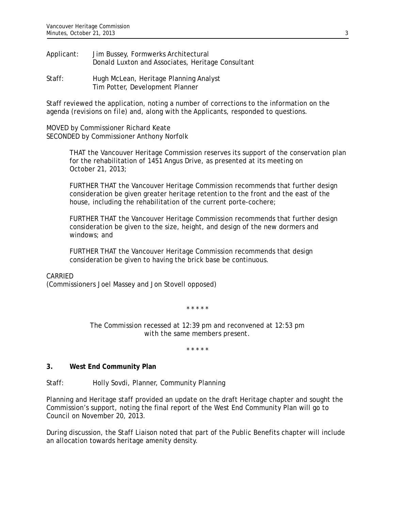- Applicant: Jim Bussey, Formwerks Architectural Donald Luxton and Associates, Heritage Consultant
- Staff: Hugh McLean, Heritage Planning Analyst Tim Potter, Development Planner

Staff reviewed the application, noting a number of corrections to the information on the agenda *(revisions on file)* and, along with the Applicants, responded to questions.

MOVED by Commissioner Richard Keate SECONDED by Commissioner Anthony Norfolk

> THAT the Vancouver Heritage Commission reserves its support of the conservation plan for the rehabilitation of 1451 Angus Drive, as presented at its meeting on October 21, 2013;

FURTHER THAT the Vancouver Heritage Commission recommends that further design consideration be given greater heritage retention to the front and the east of the house, including the rehabilitation of the current porte-cochere;

FURTHER THAT the Vancouver Heritage Commission recommends that further design consideration be given to the size, height, and design of the new dormers and windows; and

FURTHER THAT the Vancouver Heritage Commission recommends that design consideration be given to having the brick base be continuous.

# CARRIED

(Commissioners Joel Massey and Jon Stovell opposed)

*\* \* \* \* \** 

*The Commission recessed at 12:39 pm and reconvened at 12:53 pm with the same members present.* 

*\* \* \* \* \** 

# **3. West End Community Plan**

Staff: Holly Sovdi, Planner, Community Planning

Planning and Heritage staff provided an update on the draft Heritage chapter and sought the Commission's support, noting the final report of the West End Community Plan will go to Council on November 20, 2013.

During discussion, the Staff Liaison noted that part of the Public Benefits chapter will include an allocation towards heritage amenity density.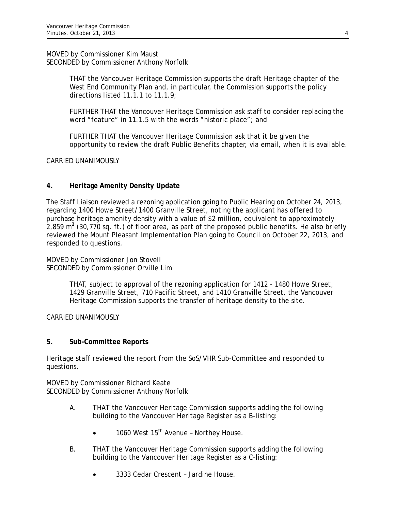MOVED by Commissioner Kim Maust SECONDED by Commissioner Anthony Norfolk

> THAT the Vancouver Heritage Commission supports the draft Heritage chapter of the West End Community Plan and, in particular, the Commission supports the policy directions listed 11.1.1 to 11.1.9;

FURTHER THAT the Vancouver Heritage Commission ask staff to consider replacing the word "feature" in 11.1.5 with the words "historic place"; and

FURTHER THAT the Vancouver Heritage Commission ask that it be given the opportunity to review the draft Public Benefits chapter, via email, when it is available.

CARRIED UNANIMOUSLY

# **4. Heritage Amenity Density Update**

The Staff Liaison reviewed a rezoning application going to Public Hearing on October 24, 2013, regarding 1400 Howe Street/1400 Granville Street, noting the applicant has offered to purchase heritage amenity density with a value of \$2 million, equivalent to approximately 2,859 m**<sup>2</sup>** (30,770 sq. ft.) of floor area, as part of the proposed public benefits. He also briefly reviewed the Mount Pleasant Implementation Plan going to Council on October 22, 2013, and responded to questions.

MOVED by Commissioner Jon Stovell SECONDED by Commissioner Orville Lim

> THAT, subject to approval of the rezoning application for 1412 - 1480 Howe Street, 1429 Granville Street, 710 Pacific Street, and 1410 Granville Street, the Vancouver Heritage Commission supports the transfer of heritage density to the site.

CARRIED UNANIMOUSLY

# **5. Sub-Committee Reports**

Heritage staff reviewed the report from the SoS/VHR Sub-Committee and responded to questions.

MOVED by Commissioner Richard Keate SECONDED by Commissioner Anthony Norfolk

- A. THAT the Vancouver Heritage Commission supports adding the following building to the Vancouver Heritage Register as a B-listing:
	- 1060 West 15<sup>th</sup> Avenue Northey House.
- B. THAT the Vancouver Heritage Commission supports adding the following building to the Vancouver Heritage Register as a C-listing:
	- 3333 Cedar Crescent Jardine House.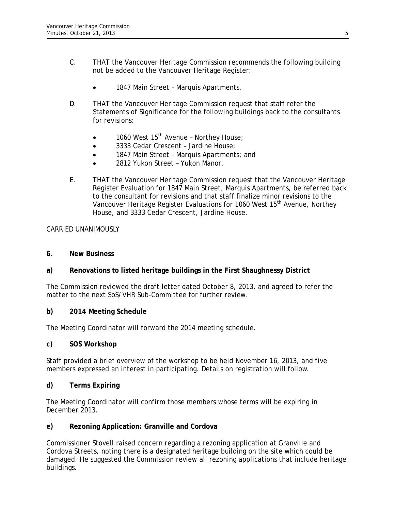- C. THAT the Vancouver Heritage Commission recommends the following building not be added to the Vancouver Heritage Register:
	- 1847 Main Street Marquis Apartments.
- D. THAT the Vancouver Heritage Commission request that staff refer the Statements of Significance for the following buildings back to the consultants for revisions:
	- $\bullet$  1060 West 15<sup>th</sup> Avenue Northey House;
	- 3333 Cedar Crescent Jardine House;
	- 1847 Main Street Marquis Apartments; and
	- 2812 Yukon Street Yukon Manor.
- E. THAT the Vancouver Heritage Commission request that the Vancouver Heritage Register Evaluation for 1847 Main Street, Marquis Apartments, be referred back to the consultant for revisions and that staff finalize minor revisions to the Vancouver Heritage Register Evaluations for 1060 West 15<sup>th</sup> Avenue, Northey House, and 3333 Cedar Crescent, Jardine House.

# CARRIED UNANIMOUSLY

### **6. New Business**

# **a) Renovations to listed heritage buildings in the First Shaughnessy District**

The Commission reviewed the draft letter dated October 8, 2013, and agreed to refer the matter to the next SoS/VHR Sub-Committee for further review.

# **b) 2014 Meeting Schedule**

The Meeting Coordinator will forward the 2014 meeting schedule.

#### **c) SOS Workshop**

Staff provided a brief overview of the workshop to be held November 16, 2013, and five members expressed an interest in participating. Details on registration will follow.

# **d) Terms Expiring**

The Meeting Coordinator will confirm those members whose terms will be expiring in December 2013.

# **e) Rezoning Application: Granville and Cordova**

Commissioner Stovell raised concern regarding a rezoning application at Granville and Cordova Streets, noting there is a designated heritage building on the site which could be damaged. He suggested the Commission review all rezoning applications that include heritage buildings.